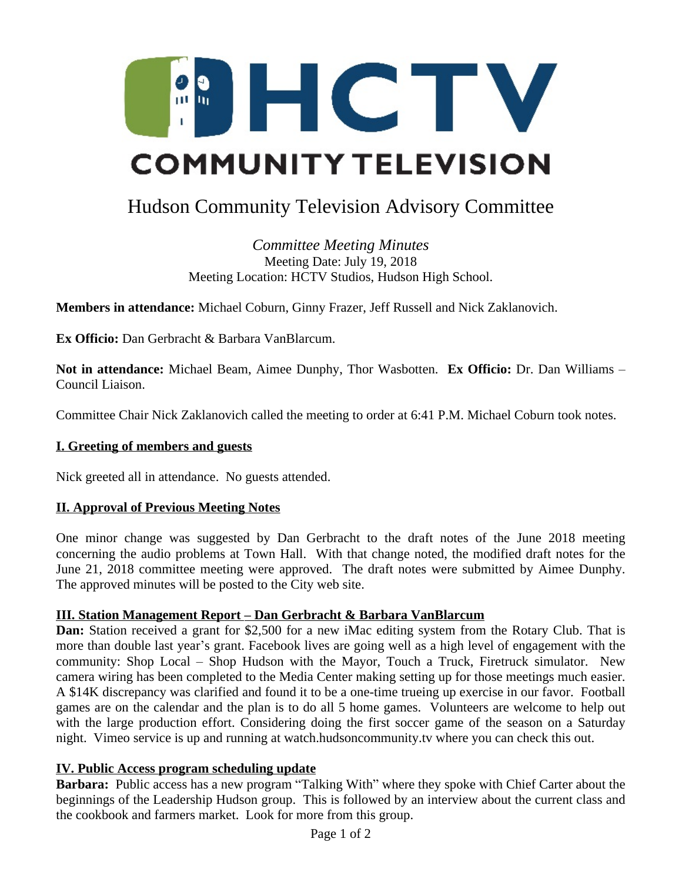

# Hudson Community Television Advisory Committee

*Committee Meeting Minutes* Meeting Date: July 19, 2018 Meeting Location: HCTV Studios, Hudson High School.

**Members in attendance:** Michael Coburn, Ginny Frazer, Jeff Russell and Nick Zaklanovich.

**Ex Officio:** Dan Gerbracht & Barbara VanBlarcum.

**Not in attendance:** Michael Beam, Aimee Dunphy, Thor Wasbotten. **Ex Officio:** Dr. Dan Williams – Council Liaison.

Committee Chair Nick Zaklanovich called the meeting to order at 6:41 P.M. Michael Coburn took notes.

#### **I. Greeting of members and guests**

Nick greeted all in attendance. No guests attended.

#### **II. Approval of Previous Meeting Notes**

One minor change was suggested by Dan Gerbracht to the draft notes of the June 2018 meeting concerning the audio problems at Town Hall. With that change noted, the modified draft notes for the June 21, 2018 committee meeting were approved. The draft notes were submitted by Aimee Dunphy. The approved minutes will be posted to the City web site.

#### **III. Station Management Report – Dan Gerbracht & Barbara VanBlarcum**

**Dan:** Station received a grant for \$2,500 for a new iMac editing system from the Rotary Club. That is more than double last year's grant. Facebook lives are going well as a high level of engagement with the community: Shop Local – Shop Hudson with the Mayor, Touch a Truck, Firetruck simulator. New camera wiring has been completed to the Media Center making setting up for those meetings much easier. A \$14K discrepancy was clarified and found it to be a one-time trueing up exercise in our favor. Football games are on the calendar and the plan is to do all 5 home games. Volunteers are welcome to help out with the large production effort. Considering doing the first soccer game of the season on a Saturday night. Vimeo service is up and running at watch.hudsoncommunity.tv where you can check this out.

#### **IV. Public Access program scheduling update**

**Barbara:** Public access has a new program "Talking With" where they spoke with Chief Carter about the beginnings of the Leadership Hudson group. This is followed by an interview about the current class and the cookbook and farmers market. Look for more from this group.